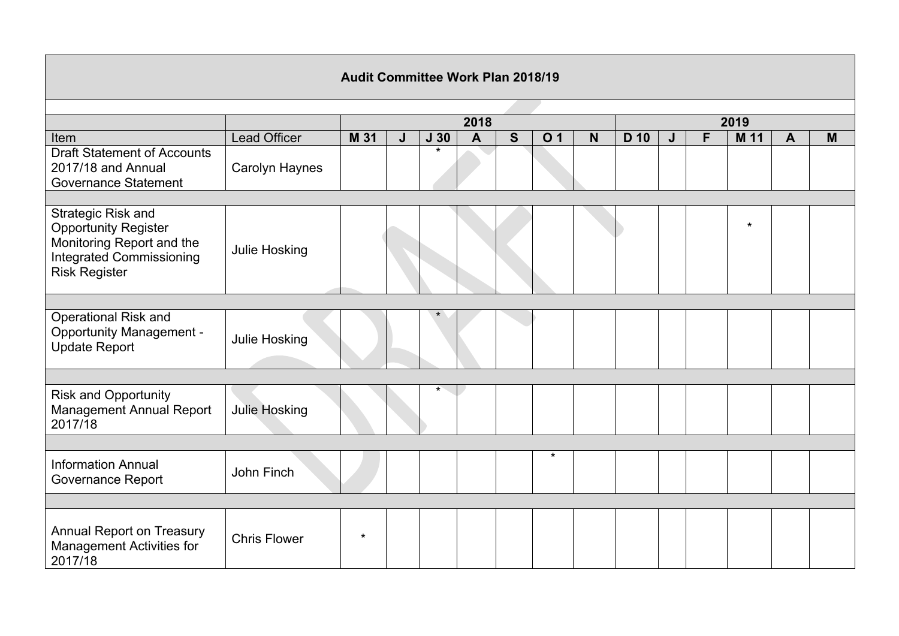| <b>Audit Committee Work Plan 2018/19</b>                                                                                                  |                      |         |   |                 |              |   |                |             |      |   |   |         |              |   |
|-------------------------------------------------------------------------------------------------------------------------------------------|----------------------|---------|---|-----------------|--------------|---|----------------|-------------|------|---|---|---------|--------------|---|
|                                                                                                                                           |                      |         |   |                 |              |   |                |             |      |   |   |         |              |   |
|                                                                                                                                           |                      |         |   |                 | 2018         |   |                | 2019        |      |   |   |         |              |   |
| Item                                                                                                                                      | <b>Lead Officer</b>  | M 31    | J | J <sub>30</sub> | $\mathbf{A}$ | S | O <sub>1</sub> | $\mathbf N$ | D 10 | J | F | M 11    | $\mathbf{A}$ | M |
| <b>Draft Statement of Accounts</b><br>2017/18 and Annual<br><b>Governance Statement</b>                                                   | Carolyn Haynes       |         |   | $\star$         |              |   |                |             |      |   |   |         |              |   |
|                                                                                                                                           |                      |         |   |                 |              |   |                |             |      |   |   |         |              |   |
| Strategic Risk and<br><b>Opportunity Register</b><br>Monitoring Report and the<br><b>Integrated Commissioning</b><br><b>Risk Register</b> | Julie Hosking        |         |   |                 |              |   |                |             |      |   |   | $\star$ |              |   |
|                                                                                                                                           |                      |         |   |                 |              |   |                |             |      |   |   |         |              |   |
| Operational Risk and<br><b>Opportunity Management -</b><br><b>Update Report</b>                                                           | Julie Hosking        |         |   | $\star$         |              |   |                |             |      |   |   |         |              |   |
|                                                                                                                                           |                      |         |   |                 |              |   |                |             |      |   |   |         |              |   |
| <b>Risk and Opportunity</b><br><b>Management Annual Report</b><br>2017/18                                                                 | <b>Julie Hosking</b> |         |   | *               |              |   |                |             |      |   |   |         |              |   |
|                                                                                                                                           |                      |         |   |                 |              |   |                |             |      |   |   |         |              |   |
| <b>Information Annual</b><br><b>Governance Report</b>                                                                                     | John Finch           |         |   |                 |              |   | $\star$        |             |      |   |   |         |              |   |
|                                                                                                                                           |                      |         |   |                 |              |   |                |             |      |   |   |         |              |   |
| <b>Annual Report on Treasury</b><br><b>Management Activities for</b><br>2017/18                                                           | <b>Chris Flower</b>  | $\star$ |   |                 |              |   |                |             |      |   |   |         |              |   |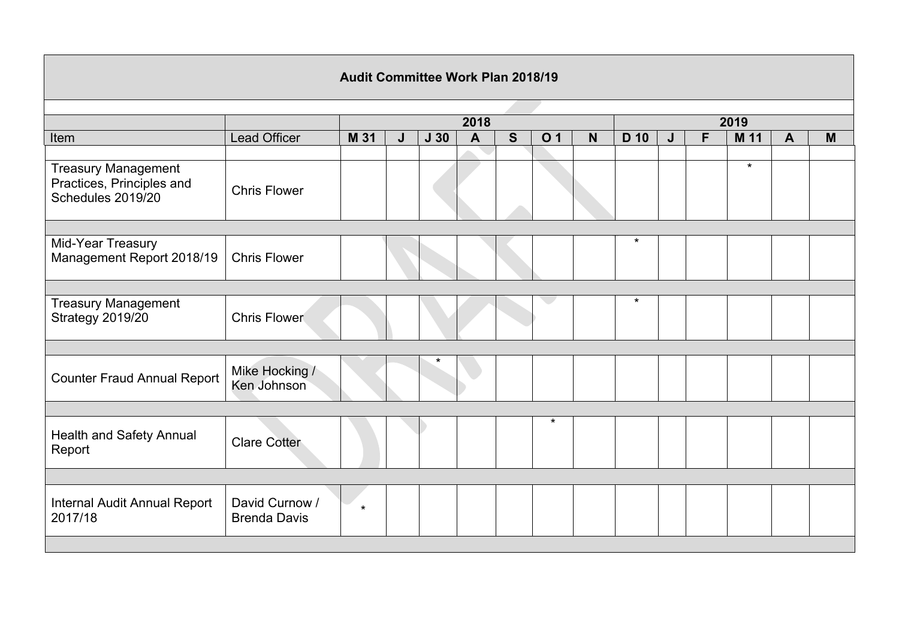| <b>Audit Committee Work Plan 2018/19</b>                                     |                                       |         |   |                 |                |             |                |             |         |      |   |         |              |   |  |  |
|------------------------------------------------------------------------------|---------------------------------------|---------|---|-----------------|----------------|-------------|----------------|-------------|---------|------|---|---------|--------------|---|--|--|
|                                                                              |                                       |         |   |                 |                |             |                |             |         |      |   |         |              |   |  |  |
|                                                                              |                                       | 2018    |   |                 |                |             |                |             |         | 2019 |   |         |              |   |  |  |
| Item                                                                         | Lead Officer                          | M 31    | J | J <sub>30</sub> | $\overline{A}$ | $\mathbf S$ | O <sub>1</sub> | $\mathbf N$ | D 10    | J    | F | M 11    | $\mathbf{A}$ | M |  |  |
|                                                                              |                                       |         |   |                 |                |             |                |             |         |      |   |         |              |   |  |  |
| <b>Treasury Management</b><br>Practices, Principles and<br>Schedules 2019/20 | <b>Chris Flower</b>                   |         |   |                 |                |             |                |             |         |      |   | $\star$ |              |   |  |  |
|                                                                              |                                       |         |   |                 |                |             |                |             |         |      |   |         |              |   |  |  |
| Mid-Year Treasury<br>Management Report 2018/19                               | <b>Chris Flower</b>                   |         |   |                 |                |             |                |             | $\star$ |      |   |         |              |   |  |  |
|                                                                              |                                       |         |   |                 |                |             |                |             |         |      |   |         |              |   |  |  |
| <b>Treasury Management</b><br>Strategy 2019/20                               | <b>Chris Flower</b>                   |         |   |                 |                |             |                |             | $\star$ |      |   |         |              |   |  |  |
|                                                                              |                                       |         |   |                 |                |             |                |             |         |      |   |         |              |   |  |  |
| <b>Counter Fraud Annual Report</b>                                           | Mike Hocking /<br>Ken Johnson         |         |   |                 |                |             |                |             |         |      |   |         |              |   |  |  |
|                                                                              |                                       |         |   |                 |                |             |                |             |         |      |   |         |              |   |  |  |
| Health and Safety Annual<br>Report                                           | <b>Clare Cotter</b>                   |         |   |                 |                |             | $\star$        |             |         |      |   |         |              |   |  |  |
|                                                                              |                                       |         |   |                 |                |             |                |             |         |      |   |         |              |   |  |  |
| Internal Audit Annual Report<br>2017/18                                      | David Curnow /<br><b>Brenda Davis</b> | $\star$ |   |                 |                |             |                |             |         |      |   |         |              |   |  |  |
|                                                                              |                                       |         |   |                 |                |             |                |             |         |      |   |         |              |   |  |  |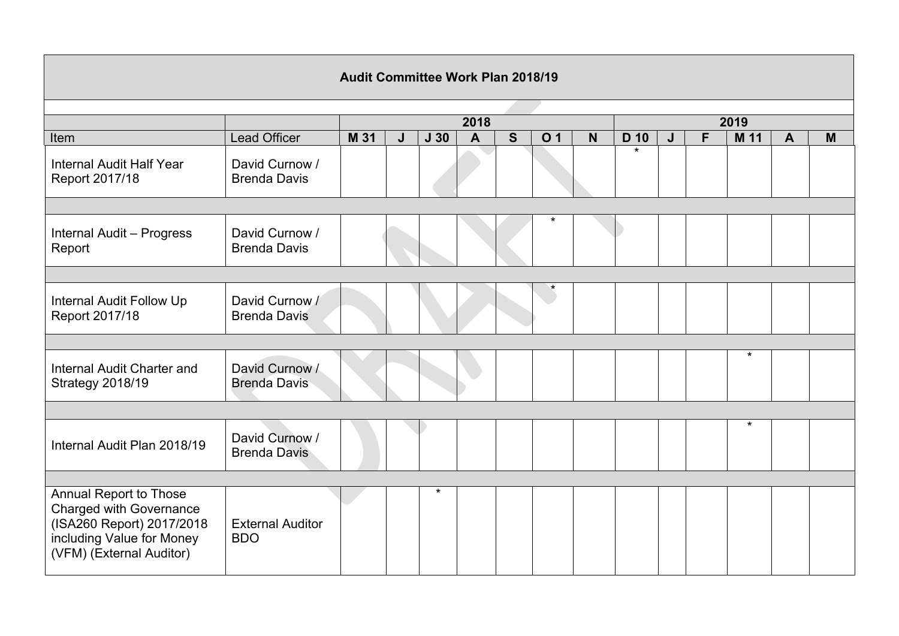| <b>Audit Committee Work Plan 2018/19</b>                                                                                                       |                                       |      |   |                 |                |   |                |             |         |   |   |         |              |   |
|------------------------------------------------------------------------------------------------------------------------------------------------|---------------------------------------|------|---|-----------------|----------------|---|----------------|-------------|---------|---|---|---------|--------------|---|
|                                                                                                                                                |                                       |      |   |                 |                |   |                |             |         |   |   |         |              |   |
|                                                                                                                                                |                                       |      |   |                 | 2018           |   |                | 2019        |         |   |   |         |              |   |
| Item                                                                                                                                           | Lead Officer                          | M 31 | J | J <sub>30</sub> | $\overline{A}$ | S | O <sub>1</sub> | $\mathbf N$ | D 10    | J | F | M 11    | $\mathbf{A}$ | M |
| Internal Audit Half Year<br>Report 2017/18                                                                                                     | David Curnow /<br><b>Brenda Davis</b> |      |   |                 |                |   |                |             | $\star$ |   |   |         |              |   |
|                                                                                                                                                |                                       |      |   |                 |                |   |                |             |         |   |   |         |              |   |
| Internal Audit - Progress<br>Report                                                                                                            | David Curnow /<br><b>Brenda Davis</b> |      |   |                 |                |   | $\star$        |             |         |   |   |         |              |   |
|                                                                                                                                                |                                       |      |   |                 |                |   |                |             |         |   |   |         |              |   |
| Internal Audit Follow Up<br>Report 2017/18                                                                                                     | David Curnow /<br><b>Brenda Davis</b> |      |   |                 |                |   |                |             |         |   |   |         |              |   |
|                                                                                                                                                |                                       |      |   |                 |                |   |                |             |         |   |   |         |              |   |
| Internal Audit Charter and<br>Strategy 2018/19                                                                                                 | David Curnow /<br><b>Brenda Davis</b> |      |   |                 |                |   |                |             |         |   |   | $\star$ |              |   |
|                                                                                                                                                |                                       |      |   |                 |                |   |                |             |         |   |   |         |              |   |
| Internal Audit Plan 2018/19                                                                                                                    | David Curnow /<br><b>Brenda Davis</b> |      |   |                 |                |   |                |             |         |   |   | $\star$ |              |   |
|                                                                                                                                                |                                       |      |   |                 |                |   |                |             |         |   |   |         |              |   |
| Annual Report to Those<br><b>Charged with Governance</b><br>(ISA260 Report) 2017/2018<br>including Value for Money<br>(VFM) (External Auditor) | <b>External Auditor</b><br><b>BDO</b> |      |   | $\star$         |                |   |                |             |         |   |   |         |              |   |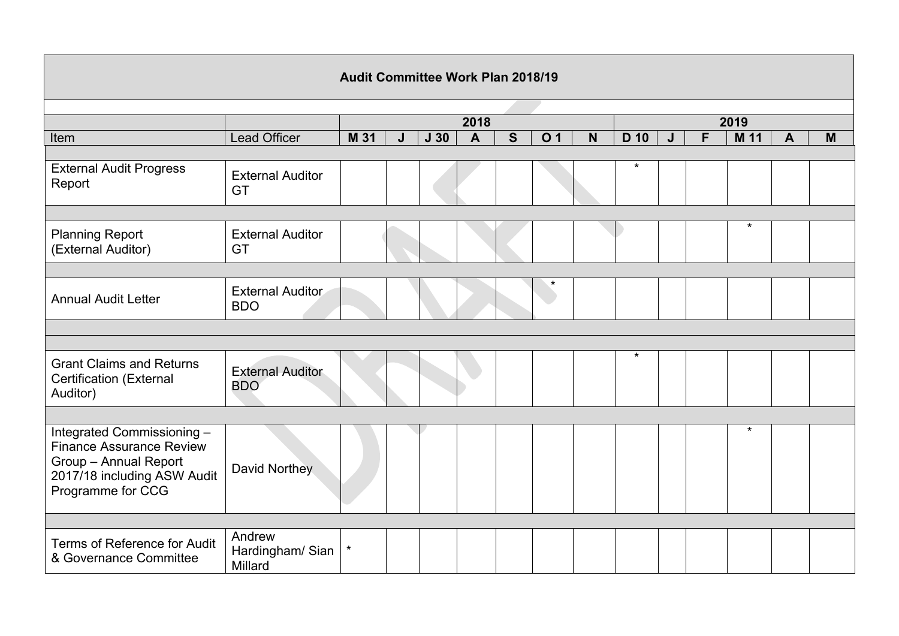| <b>Audit Committee Work Plan 2018/19</b>                                                                                                   |                                       |         |   |                                            |   |                |   |         |   |   |         |                         |   |
|--------------------------------------------------------------------------------------------------------------------------------------------|---------------------------------------|---------|---|--------------------------------------------|---|----------------|---|---------|---|---|---------|-------------------------|---|
|                                                                                                                                            |                                       |         |   |                                            |   |                |   |         |   |   |         |                         |   |
|                                                                                                                                            |                                       |         |   | 2018                                       |   | 2019           |   |         |   |   |         |                         |   |
| Item                                                                                                                                       | <b>Lead Officer</b>                   | M 31    | J | $\overline{\mathbf{A}}$<br>J <sub>30</sub> | S | O <sub>1</sub> | N | D 10    | J | F | M 11    | $\overline{\mathsf{A}}$ | M |
| <b>External Audit Progress</b><br>Report                                                                                                   | <b>External Auditor</b><br><b>GT</b>  |         |   |                                            |   |                |   | $\star$ |   |   |         |                         |   |
|                                                                                                                                            |                                       |         |   |                                            |   |                |   |         |   |   |         |                         |   |
| <b>Planning Report</b><br>(External Auditor)                                                                                               | <b>External Auditor</b><br><b>GT</b>  |         |   |                                            |   |                |   |         |   |   | $\star$ |                         |   |
|                                                                                                                                            |                                       |         |   |                                            |   |                |   |         |   |   |         |                         |   |
| <b>Annual Audit Letter</b>                                                                                                                 | <b>External Auditor</b><br><b>BDO</b> |         |   |                                            |   |                |   |         |   |   |         |                         |   |
|                                                                                                                                            |                                       |         |   |                                            |   |                |   |         |   |   |         |                         |   |
|                                                                                                                                            |                                       |         |   |                                            |   |                |   |         |   |   |         |                         |   |
| <b>Grant Claims and Returns</b><br><b>Certification (External</b><br>Auditor)                                                              | <b>External Auditor</b><br><b>BDO</b> |         |   |                                            |   |                |   | $\star$ |   |   |         |                         |   |
|                                                                                                                                            |                                       |         |   |                                            |   |                |   |         |   |   |         |                         |   |
| Integrated Commissioning -<br><b>Finance Assurance Review</b><br>Group - Annual Report<br>2017/18 including ASW Audit<br>Programme for CCG | David Northey                         |         |   |                                            |   |                |   |         |   |   | $\star$ |                         |   |
|                                                                                                                                            |                                       |         |   |                                            |   |                |   |         |   |   |         |                         |   |
| Terms of Reference for Audit<br>& Governance Committee                                                                                     | Andrew<br>Hardingham/ Sian<br>Millard | $\star$ |   |                                            |   |                |   |         |   |   |         |                         |   |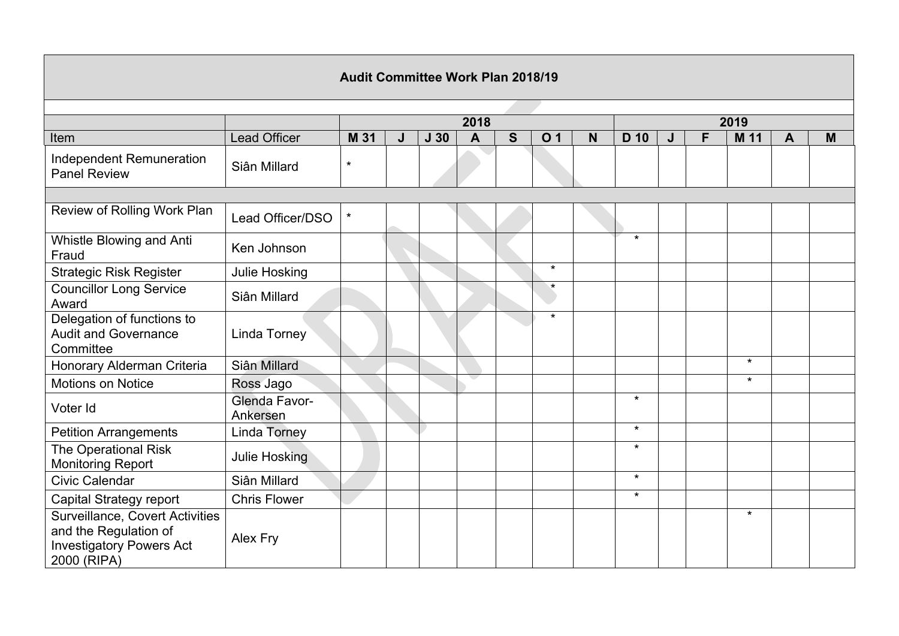| <b>Audit Committee Work Plan 2018/19</b>                                                                   |                           |         |   |                 |                         |   |                |             |         |      |   |         |                |   |  |  |
|------------------------------------------------------------------------------------------------------------|---------------------------|---------|---|-----------------|-------------------------|---|----------------|-------------|---------|------|---|---------|----------------|---|--|--|
|                                                                                                            |                           |         |   |                 |                         |   |                |             |         |      |   |         |                |   |  |  |
|                                                                                                            |                           |         |   |                 | 2018                    |   |                |             |         | 2019 |   |         |                |   |  |  |
| Item                                                                                                       | <b>Lead Officer</b>       | M 31    | J | J <sub>30</sub> | $\overline{\mathbf{A}}$ | S | O <sub>1</sub> | $\mathbf N$ | D 10    | J    | F | M 11    | $\overline{A}$ | M |  |  |
| Independent Remuneration<br><b>Panel Review</b>                                                            | Siân Millard              | $\star$ |   |                 |                         |   |                |             |         |      |   |         |                |   |  |  |
|                                                                                                            |                           |         |   |                 |                         |   |                |             |         |      |   |         |                |   |  |  |
| Review of Rolling Work Plan                                                                                | Lead Officer/DSO          | $\star$ |   |                 |                         |   |                |             |         |      |   |         |                |   |  |  |
| Whistle Blowing and Anti<br>Fraud                                                                          | Ken Johnson               |         |   |                 |                         |   |                |             | $\star$ |      |   |         |                |   |  |  |
| <b>Strategic Risk Register</b>                                                                             | Julie Hosking             |         |   |                 |                         |   | $\star$        |             |         |      |   |         |                |   |  |  |
| <b>Councillor Long Service</b><br>Award                                                                    | Siân Millard              |         |   |                 |                         |   | $\star$        |             |         |      |   |         |                |   |  |  |
| Delegation of functions to<br><b>Audit and Governance</b><br>Committee                                     | <b>Linda Torney</b>       |         |   |                 |                         |   | $\star$        |             |         |      |   |         |                |   |  |  |
| Honorary Alderman Criteria                                                                                 | Siân Millard              |         |   |                 |                         |   |                |             |         |      |   | $\star$ |                |   |  |  |
| <b>Motions on Notice</b>                                                                                   | Ross Jago                 |         |   |                 |                         |   |                |             |         |      |   | $\star$ |                |   |  |  |
| Voter Id                                                                                                   | Glenda Favor-<br>Ankersen |         |   |                 |                         |   |                |             | $\star$ |      |   |         |                |   |  |  |
| <b>Petition Arrangements</b>                                                                               | <b>Linda Torney</b>       |         |   |                 |                         |   |                |             | $\star$ |      |   |         |                |   |  |  |
| The Operational Risk<br>Monitoring Report                                                                  | Julie Hosking             |         |   |                 |                         |   |                |             | $\star$ |      |   |         |                |   |  |  |
| <b>Civic Calendar</b>                                                                                      | Siân Millard              |         |   |                 |                         |   |                |             | $\star$ |      |   |         |                |   |  |  |
| Capital Strategy report                                                                                    | <b>Chris Flower</b>       |         |   |                 |                         |   |                |             | $\star$ |      |   |         |                |   |  |  |
| Surveillance, Covert Activities<br>and the Regulation of<br><b>Investigatory Powers Act</b><br>2000 (RIPA) | Alex Fry                  |         |   |                 |                         |   |                |             |         |      |   | $\star$ |                |   |  |  |